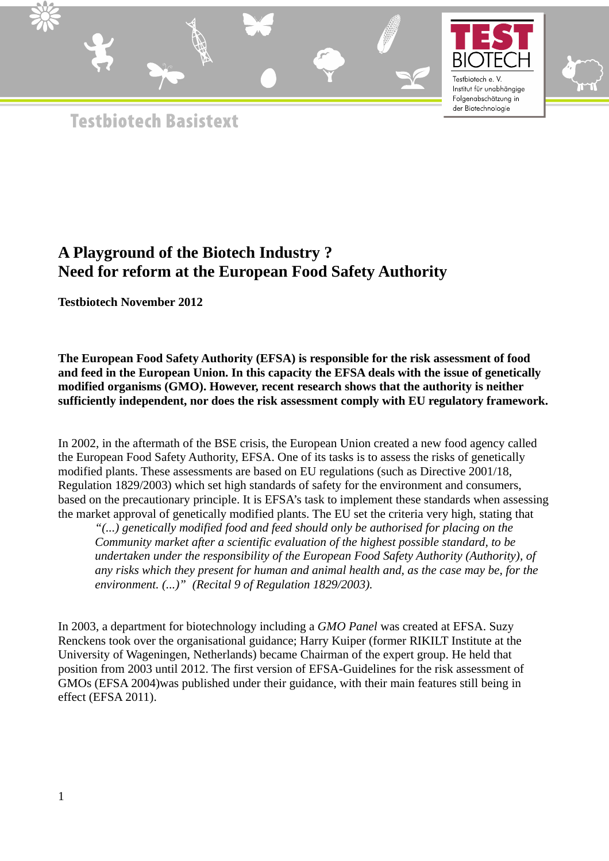





**Testbiotech Basistext** 

# **A Playground of the Biotech Industry ? Need for reform at the European Food Safety Authority**

**Testbiotech November 2012** 

**The European Food Safety Authority (EFSA) is responsible for the risk assessment of food and feed in the European Union. In this capacity the EFSA deals with the issue of genetically modified organisms (GMO). However, recent research shows that the authority is neither sufficiently independent, nor does the risk assessment comply with EU regulatory framework.**

In 2002, in the aftermath of the BSE crisis, the European Union created a new food agency called the European Food Safety Authority, EFSA. One of its tasks is to assess the risks of genetically modified plants. These assessments are based on EU regulations (such as Directive 2001/18, Regulation 1829/2003) which set high standards of safety for the environment and consumers, based on the precautionary principle. It is EFSA's task to implement these standards when assessing the market approval of genetically modified plants. The EU set the criteria very high, stating that

*"(...) genetically modified food and feed should only be authorised for placing on the Community market after a scientific evaluation of the highest possible standard, to be undertaken under the responsibility of the European Food Safety Authority (Authority), of any risks which they present for human and animal health and, as the case may be, for the environment. (...)" (Recital 9 of Regulation 1829/2003).* 

In 2003, a department for biotechnology including a *GMO Panel* was created at EFSA. Suzy Renckens took over the organisational guidance; Harry Kuiper (former RIKILT Institute at the University of Wageningen, Netherlands) became Chairman of the expert group. He held that position from 2003 until 2012. The first version of EFSA-Guidelines for the risk assessment of GMOs (EFSA 2004)was published under their guidance, with their main features still being in effect (EFSA 2011).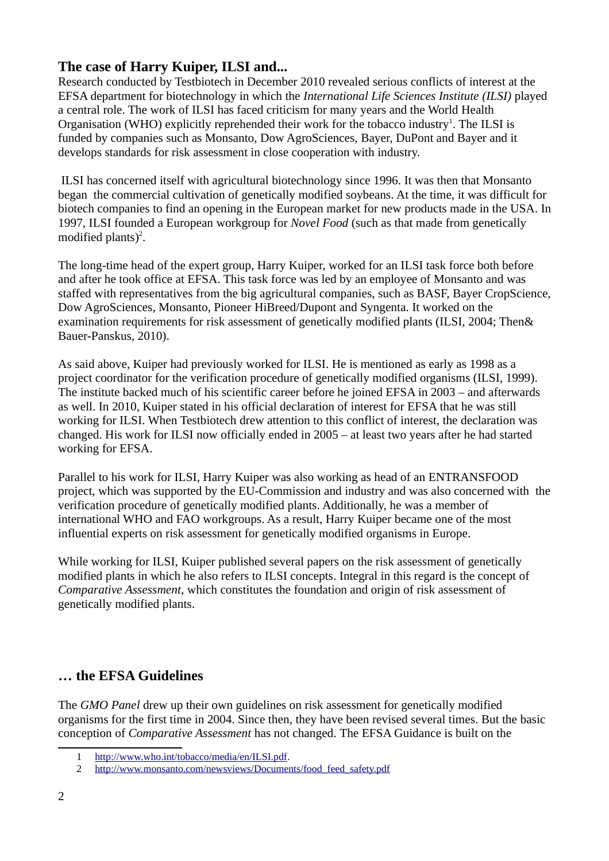## **The case of Harry Kuiper, ILSI and...**

Research conducted by Testbiotech in December 2010 revealed serious conflicts of interest at the EFSA department for biotechnology in which the *International Life Sciences Institute (ILSI)* played a central role. The work of ILSI has faced criticism for many years and the World Health Organisation (WHO) explicitly reprehended their work for the tobacco industry<sup>[1](#page-1-0)</sup>. The ILSI is funded by companies such as Monsanto, Dow AgroSciences, Bayer, DuPont and Bayer and it develops standards for risk assessment in close cooperation with industry.

 ILSI has concerned itself with agricultural biotechnology since 1996. It was then that Monsanto began the commercial cultivation of genetically modified soybeans. At the time, it was difficult for biotech companies to find an opening in the European market for new products made in the USA. In 1997, ILSI founded a European workgroup for *Novel Food* (such as that made from genetically modified plants)<sup>[2](#page-1-1)</sup>.

The long-time head of the expert group, Harry Kuiper, worked for an ILSI task force both before and after he took office at EFSA. This task force was led by an employee of Monsanto and was staffed with representatives from the big agricultural companies, such as BASF, Bayer CropScience, Dow AgroSciences, Monsanto, Pioneer HiBreed/Dupont and Syngenta. It worked on the examination requirements for risk assessment of genetically modified plants (ILSI, 2004; Then& Bauer-Panskus, 2010).

As said above, Kuiper had previously worked for ILSI. He is mentioned as early as 1998 as a project coordinator for the verification procedure of genetically modified organisms (ILSI, 1999). The institute backed much of his scientific career before he joined EFSA in 2003 – and afterwards as well. In 2010, Kuiper stated in his official declaration of interest for EFSA that he was still working for ILSI. When Testbiotech drew attention to this conflict of interest, the declaration was changed. His work for ILSI now officially ended in 2005 – at least two years after he had started working for EFSA.

Parallel to his work for ILSI, Harry Kuiper was also working as head of an ENTRANSFOOD project, which was supported by the EU-Commission and industry and was also concerned with the verification procedure of genetically modified plants. Additionally, he was a member of international WHO and FAO workgroups. As a result, Harry Kuiper became one of the most influential experts on risk assessment for genetically modified organisms in Europe.

While working for ILSI, Kuiper published several papers on the risk assessment of genetically modified plants in which he also refers to ILSI concepts. Integral in this regard is the concept of *Comparative Assessment*, which constitutes the foundation and origin of risk assessment of genetically modified plants.

### **… the EFSA Guidelines**

The *GMO Panel* drew up their own guidelines on risk assessment for genetically modified organisms for the first time in 2004. Since then, they have been revised several times. But the basic conception of *Comparative Assessment* has not changed. The EFSA Guidance is built on the

<span id="page-1-1"></span><span id="page-1-0"></span><sup>1</sup> [http://www.who.int/tobacco/media/en/ILSI.pdf.](http://www.who.int/tobacco/media/en/ILSI.pdf)

<sup>2</sup> [http://www.monsanto.com/newsviews/Documents/food\\_feed\\_safety.pdf](http://www.monsanto.com/newsviews/Documents/food_feed_safety.pdf)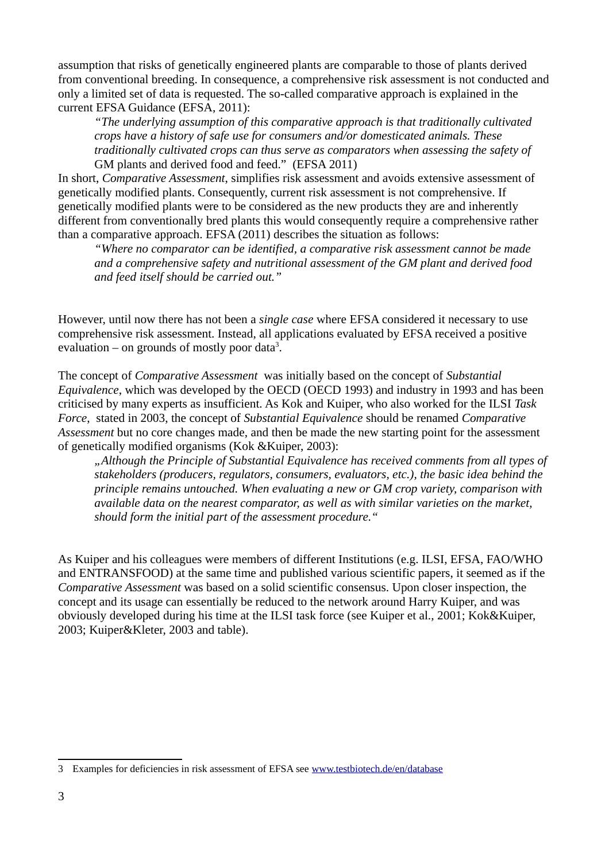assumption that risks of genetically engineered plants are comparable to those of plants derived from conventional breeding. In consequence, a comprehensive risk assessment is not conducted and only a limited set of data is requested. The so-called comparative approach is explained in the current EFSA Guidance (EFSA, 2011):

*"The underlying assumption of this comparative approach is that traditionally cultivated crops have a history of safe use for consumers and/or domesticated animals. These traditionally cultivated crops can thus serve as comparators when assessing the safety of*  GM plants and derived food and feed." (EFSA 2011)

In short, *Comparative Assessment*, simplifies risk assessment and avoids extensive assessment of genetically modified plants. Consequently, current risk assessment is not comprehensive. If genetically modified plants were to be considered as the new products they are and inherently different from conventionally bred plants this would consequently require a comprehensive rather than a comparative approach. EFSA (2011) describes the situation as follows:

*"Where no comparator can be identified, a comparative risk assessment cannot be made and a comprehensive safety and nutritional assessment of the GM plant and derived food and feed itself should be carried out."* 

However, until now there has not been a *single case* where EFSA considered it necessary to use comprehensive risk assessment. Instead, all applications evaluated by EFSA received a positive evaluation – on grounds of mostly poor data<sup>[3](#page-2-0)</sup>.

The concept of *Comparative Assessment* was initially based on the concept of *Substantial Equivalence*, which was developed by the OECD (OECD 1993) and industry in 1993 and has been criticised by many experts as insufficient. As Kok and Kuiper, who also worked for the ILSI *Task Force*, stated in 2003, the concept of *Substantial Equivalence* should be renamed *Comparative Assessment* but no core changes made, and then be made the new starting point for the assessment of genetically modified organisms (Kok &Kuiper, 2003):

*"Although the Principle of Substantial Equivalence has received comments from all types of stakeholders (producers, regulators, consumers, evaluators, etc.), the basic idea behind the principle remains untouched. When evaluating a new or GM crop variety, comparison with available data on the nearest comparator, as well as with similar varieties on the market, should form the initial part of the assessment procedure."* 

As Kuiper and his colleagues were members of different Institutions (e.g. ILSI, EFSA, FAO/WHO and ENTRANSFOOD) at the same time and published various scientific papers, it seemed as if the *Comparative Assessment* was based on a solid scientific consensus. Upon closer inspection, the concept and its usage can essentially be reduced to the network around Harry Kuiper, and was obviously developed during his time at the ILSI task force (see Kuiper et al., 2001; Kok&Kuiper, 2003; Kuiper&Kleter, 2003 and table).

<span id="page-2-0"></span><sup>3</sup> Examples for deficiencies in risk assessment of EFSA see [www.testbiotech.de/en/database](http://www.testbiotech.de/en/database)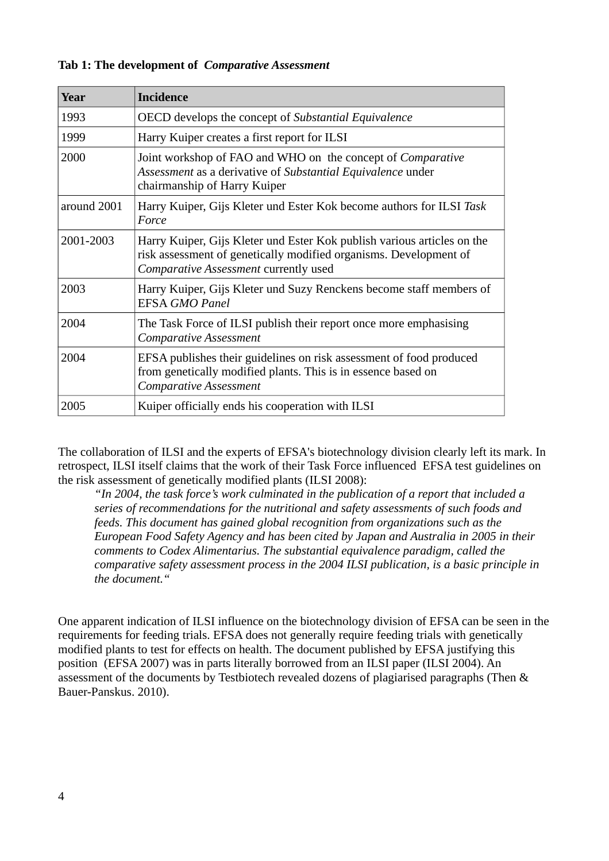| Year        | <b>Incidence</b>                                                                                                                                                                      |
|-------------|---------------------------------------------------------------------------------------------------------------------------------------------------------------------------------------|
| 1993        | OECD develops the concept of Substantial Equivalence                                                                                                                                  |
| 1999        | Harry Kuiper creates a first report for ILSI                                                                                                                                          |
| 2000        | Joint workshop of FAO and WHO on the concept of Comparative<br>Assessment as a derivative of Substantial Equivalence under<br>chairmanship of Harry Kuiper                            |
| around 2001 | Harry Kuiper, Gijs Kleter und Ester Kok become authors for ILSI Task<br>Force                                                                                                         |
| 2001-2003   | Harry Kuiper, Gijs Kleter und Ester Kok publish various articles on the<br>risk assessment of genetically modified organisms. Development of<br>Comparative Assessment currently used |
| 2003        | Harry Kuiper, Gijs Kleter und Suzy Renckens become staff members of<br><b>EFSA GMO Panel</b>                                                                                          |
| 2004        | The Task Force of ILSI publish their report once more emphasising<br><b>Comparative Assessment</b>                                                                                    |
| 2004        | EFSA publishes their guidelines on risk assessment of food produced<br>from genetically modified plants. This is in essence based on<br><b>Comparative Assessment</b>                 |
| 2005        | Kuiper officially ends his cooperation with ILSI                                                                                                                                      |

#### **Tab 1: The development of** *Comparative Assessment*

The collaboration of ILSI and the experts of EFSA's biotechnology division clearly left its mark. In retrospect, ILSI itself claims that the work of their Task Force influenced EFSA test guidelines on the risk assessment of genetically modified plants (ILSI 2008):

*"In 2004, the task force's work culminated in the publication of a report that included a series of recommendations for the nutritional and safety assessments of such foods and feeds. This document has gained global recognition from organizations such as the European Food Safety Agency and has been cited by Japan and Australia in 2005 in their comments to Codex Alimentarius. The substantial equivalence paradigm, called the comparative safety assessment process in the 2004 ILSI publication, is a basic principle in the document."* 

One apparent indication of ILSI influence on the biotechnology division of EFSA can be seen in the requirements for feeding trials. EFSA does not generally require feeding trials with genetically modified plants to test for effects on health. The document published by EFSA justifying this position (EFSA 2007) was in parts literally borrowed from an ILSI paper (ILSI 2004). An assessment of the documents by Testbiotech revealed dozens of plagiarised paragraphs (Then & Bauer-Panskus. 2010).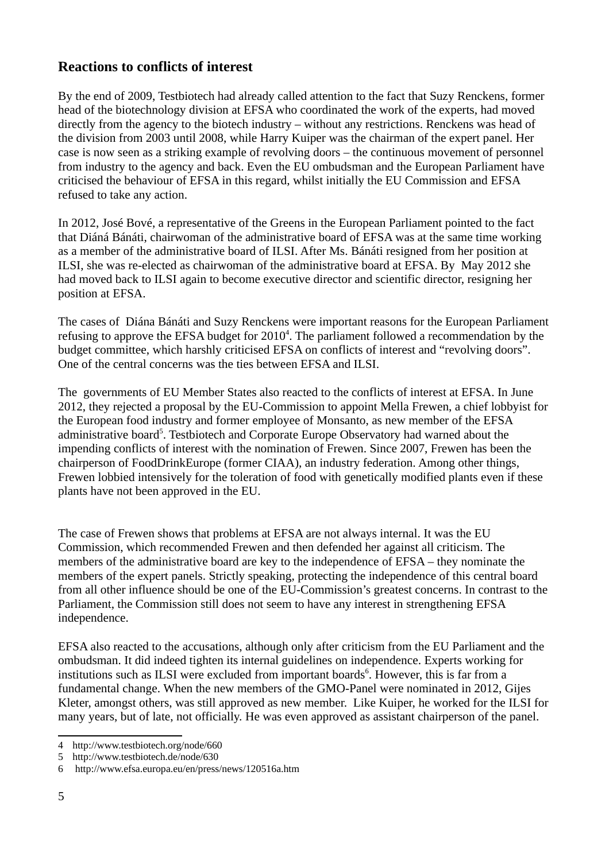### **Reactions to conflicts of interest**

By the end of 2009, Testbiotech had already called attention to the fact that Suzy Renckens, former head of the biotechnology division at EFSA who coordinated the work of the experts, had moved directly from the agency to the biotech industry – without any restrictions. Renckens was head of the division from 2003 until 2008, while Harry Kuiper was the chairman of the expert panel. Her case is now seen as a striking example of revolving doors – the continuous movement of personnel from industry to the agency and back. Even the EU ombudsman and the European Parliament have criticised the behaviour of EFSA in this regard, whilst initially the EU Commission and EFSA refused to take any action.

In 2012, José Bové, a representative of the Greens in the European Parliament pointed to the fact that Diáná Bánáti, chairwoman of the administrative board of EFSA was at the same time working as a member of the administrative board of ILSI. After Ms. Bánáti resigned from her position at ILSI, she was re-elected as chairwoman of the administrative board at EFSA. By May 2012 she had moved back to ILSI again to become executive director and scientific director, resigning her position at EFSA.

The cases of Diána Bánáti and Suzy Renckens were important reasons for the European Parliament refusing to approve the EFSA budget for  $2010<sup>4</sup>$  $2010<sup>4</sup>$  $2010<sup>4</sup>$ . The parliament followed a recommendation by the budget committee, which harshly criticised EFSA on conflicts of interest and "revolving doors". One of the central concerns was the ties between EFSA and ILSI.

The governments of EU Member States also reacted to the conflicts of interest at EFSA. In June 2012, they rejected a proposal by the EU-Commission to appoint Mella Frewen, a chief lobbyist for the European food industry and former employee of Monsanto, as new member of the EFSA administrative board<sup>[5](#page-4-1)</sup>. Testbiotech and Corporate Europe Observatory had warned about the impending conflicts of interest with the nomination of Frewen. Since 2007, Frewen has been the chairperson of FoodDrinkEurope (former CIAA), an industry federation. Among other things, Frewen lobbied intensively for the toleration of food with genetically modified plants even if these plants have not been approved in the EU.

The case of Frewen shows that problems at EFSA are not always internal. It was the EU Commission, which recommended Frewen and then defended her against all criticism. The members of the administrative board are key to the independence of EFSA – they nominate the members of the expert panels. Strictly speaking, protecting the independence of this central board from all other influence should be one of the EU-Commission's greatest concerns. In contrast to the Parliament, the Commission still does not seem to have any interest in strengthening EFSA independence.

EFSA also reacted to the accusations, although only after criticism from the EU Parliament and the ombudsman. It did indeed tighten its internal guidelines on independence. Experts working for institutions such as ILSI were excluded from important boards $6$ . However, this is far from a fundamental change. When the new members of the GMO-Panel were nominated in 2012, Gijes Kleter, amongst others, was still approved as new member. Like Kuiper, he worked for the ILSI for many years, but of late, not officially. He was even approved as assistant chairperson of the panel.

<span id="page-4-0"></span><sup>4</sup> http://www.testbiotech.org/node/660

<span id="page-4-1"></span><sup>5</sup> http://www.testbiotech.de/node/630

<span id="page-4-2"></span><sup>6</sup> http://www.efsa.europa.eu/en/press/news/120516a.htm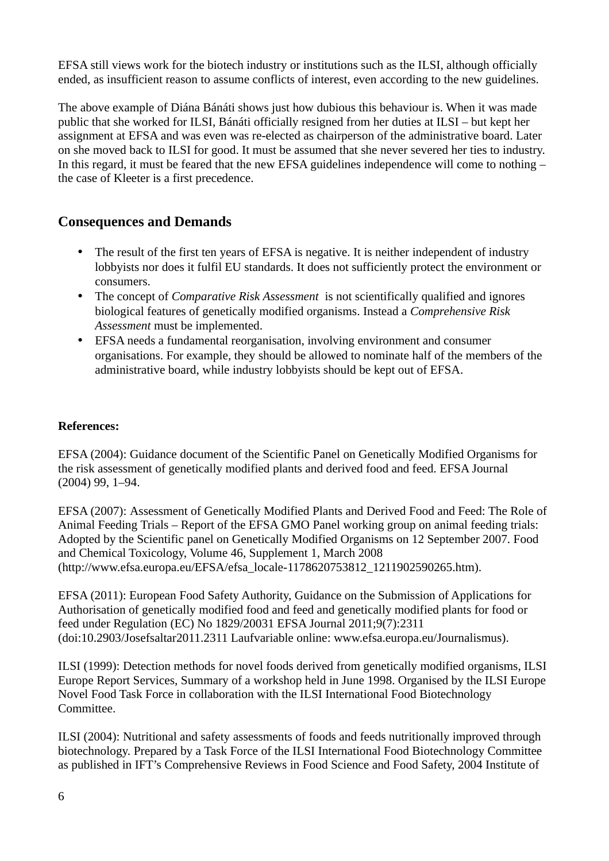EFSA still views work for the biotech industry or institutions such as the ILSI, although officially ended, as insufficient reason to assume conflicts of interest, even according to the new guidelines.

The above example of Diána Bánáti shows just how dubious this behaviour is. When it was made public that she worked for ILSI, Bánáti officially resigned from her duties at ILSI – but kept her assignment at EFSA and was even was re-elected as chairperson of the administrative board. Later on she moved back to ILSI for good. It must be assumed that she never severed her ties to industry. In this regard, it must be feared that the new EFSA guidelines independence will come to nothing – the case of Kleeter is a first precedence.

### **Consequences and Demands**

- The result of the first ten years of EFSA is negative. It is neither independent of industry lobbyists nor does it fulfil EU standards. It does not sufficiently protect the environment or consumers.
- The concept of *Comparative Risk Assessment* is not scientifically qualified and ignores biological features of genetically modified organisms. Instead a *Comprehensive Risk Assessment* must be implemented.
- EFSA needs a fundamental reorganisation, involving environment and consumer organisations. For example, they should be allowed to nominate half of the members of the administrative board, while industry lobbyists should be kept out of EFSA.

### **References:**

EFSA (2004): Guidance document of the Scientific Panel on Genetically Modified Organisms for the risk assessment of genetically modified plants and derived food and feed. EFSA Journal (2004) 99, 1–94.

EFSA (2007): Assessment of Genetically Modified Plants and Derived Food and Feed: The Role of Animal Feeding Trials – Report of the EFSA GMO Panel working group on animal feeding trials: Adopted by the Scientific panel on Genetically Modified Organisms on 12 September 2007. Food and Chemical Toxicology, Volume 46, Supplement 1, March 2008 (http://www.efsa.europa.eu/EFSA/efsa\_locale-1178620753812\_1211902590265.htm).

EFSA (2011): European Food Safety Authority, Guidance on the Submission of Applications for Authorisation of genetically modified food and feed and genetically modified plants for food or feed under Regulation (EC) No 1829/20031 EFSA Journal 2011;9(7):2311 (doi:10.2903/Josefsaltar2011.2311 Laufvariable online: www.efsa.europa.eu/Journalismus).

ILSI (1999): Detection methods for novel foods derived from genetically modified organisms, ILSI Europe Report Services, Summary of a workshop held in June 1998. Organised by the ILSI Europe Novel Food Task Force in collaboration with the ILSI International Food Biotechnology Committee.

ILSI (2004): Nutritional and safety assessments of foods and feeds nutritionally improved through biotechnology. Prepared by a Task Force of the ILSI International Food Biotechnology Committee as published in IFT's Comprehensive Reviews in Food Science and Food Safety, 2004 Institute of